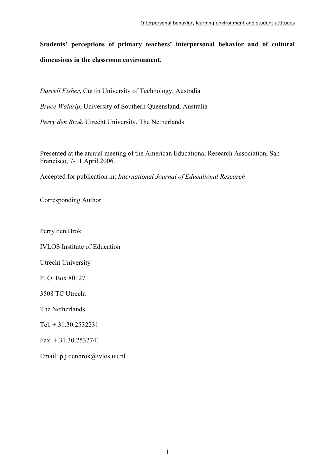**Students' perceptions of primary teachers' interpersonal behavior and of cultural dimensions in the classroom environment.** 

*Darrell Fisher*, Curtin University of Technology, Australia *Bruce Waldrip*, University of Southern Queensland, Australia *Perry den Brok*, Utrecht University, The Netherlands

Presented at the annual meeting of the American Educational Research Association, San Francisco, 7-11 April 2006.

Accepted for publication in: *International Journal of Educational Research*

Corresponding Author

Perry den Brok

IVLOS Institute of Education

Utrecht University

P. O. Box 80127

3508 TC Utrecht

The Netherlands

Tel. +.31.30.2532231

Fax. +.31.30.2532741

Email: p.j.denbrok@ivlos.uu.nl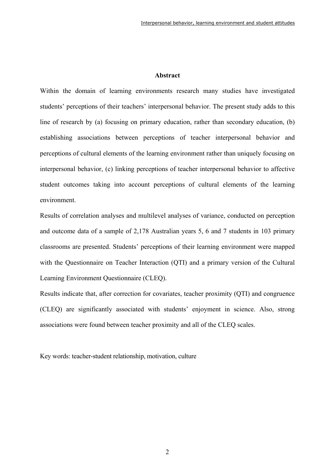#### **Abstract**

Within the domain of learning environments research many studies have investigated students' perceptions of their teachers' interpersonal behavior. The present study adds to this line of research by (a) focusing on primary education, rather than secondary education, (b) establishing associations between perceptions of teacher interpersonal behavior and perceptions of cultural elements of the learning environment rather than uniquely focusing on interpersonal behavior, (c) linking perceptions of teacher interpersonal behavior to affective student outcomes taking into account perceptions of cultural elements of the learning environment.

Results of correlation analyses and multilevel analyses of variance, conducted on perception and outcome data of a sample of 2,178 Australian years 5, 6 and 7 students in 103 primary classrooms are presented. Students' perceptions of their learning environment were mapped with the Questionnaire on Teacher Interaction (QTI) and a primary version of the Cultural Learning Environment Questionnaire (CLEQ).

Results indicate that, after correction for covariates, teacher proximity (QTI) and congruence (CLEQ) are significantly associated with students' enjoyment in science. Also, strong associations were found between teacher proximity and all of the CLEQ scales.

Key words: teacher-student relationship, motivation, culture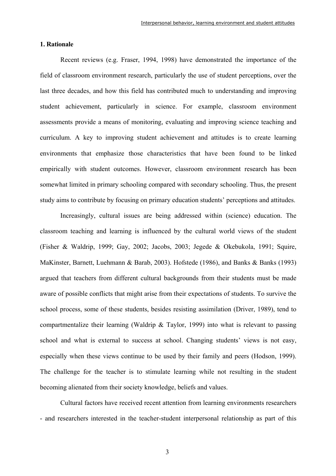#### **1. Rationale**

Recent reviews (e.g. Fraser, 1994, 1998) have demonstrated the importance of the field of classroom environment research, particularly the use of student perceptions, over the last three decades, and how this field has contributed much to understanding and improving student achievement, particularly in science. For example, classroom environment assessments provide a means of monitoring, evaluating and improving science teaching and curriculum. A key to improving student achievement and attitudes is to create learning environments that emphasize those characteristics that have been found to be linked empirically with student outcomes. However, classroom environment research has been somewhat limited in primary schooling compared with secondary schooling. Thus, the present study aims to contribute by focusing on primary education students' perceptions and attitudes.

Increasingly, cultural issues are being addressed within (science) education. The classroom teaching and learning is influenced by the cultural world views of the student (Fisher & Waldrip, 1999; Gay, 2002; Jacobs, 2003; Jegede & Okebukola, 1991; Squire, MaKinster, Barnett, Luehmann & Barab, 2003). Hofstede (1986), and Banks & Banks (1993) argued that teachers from different cultural backgrounds from their students must be made aware of possible conflicts that might arise from their expectations of students. To survive the school process, some of these students, besides resisting assimilation (Driver, 1989), tend to compartmentalize their learning (Waldrip & Taylor, 1999) into what is relevant to passing school and what is external to success at school. Changing students' views is not easy, especially when these views continue to be used by their family and peers (Hodson, 1999). The challenge for the teacher is to stimulate learning while not resulting in the student becoming alienated from their society knowledge, beliefs and values.

Cultural factors have received recent attention from learning environments researchers - and researchers interested in the teacher-student interpersonal relationship as part of this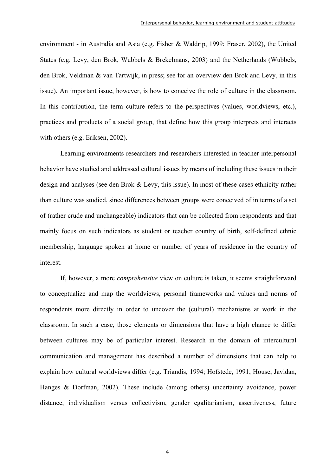environment - in Australia and Asia (e.g. Fisher & Waldrip, 1999; Fraser, 2002), the United States (e.g. Levy, den Brok, Wubbels & Brekelmans, 2003) and the Netherlands (Wubbels, den Brok, Veldman & van Tartwijk, in press; see for an overview den Brok and Levy, in this issue). An important issue, however, is how to conceive the role of culture in the classroom. In this contribution, the term culture refers to the perspectives (values, worldviews, etc.), practices and products of a social group, that define how this group interprets and interacts with others (e.g. Eriksen, 2002).

Learning environments researchers and researchers interested in teacher interpersonal behavior have studied and addressed cultural issues by means of including these issues in their design and analyses (see den Brok & Levy, this issue). In most of these cases ethnicity rather than culture was studied, since differences between groups were conceived of in terms of a set of (rather crude and unchangeable) indicators that can be collected from respondents and that mainly focus on such indicators as student or teacher country of birth, self-defined ethnic membership, language spoken at home or number of years of residence in the country of interest.

If, however, a more *comprehensive* view on culture is taken, it seems straightforward to conceptualize and map the worldviews, personal frameworks and values and norms of respondents more directly in order to uncover the (cultural) mechanisms at work in the classroom. In such a case, those elements or dimensions that have a high chance to differ between cultures may be of particular interest. Research in the domain of intercultural communication and management has described a number of dimensions that can help to explain how cultural worldviews differ (e.g. Triandis, 1994; Hofstede, 1991; House, Javidan, Hanges & Dorfman, 2002). These include (among others) uncertainty avoidance, power distance, individualism versus collectivism, gender egalitarianism, assertiveness, future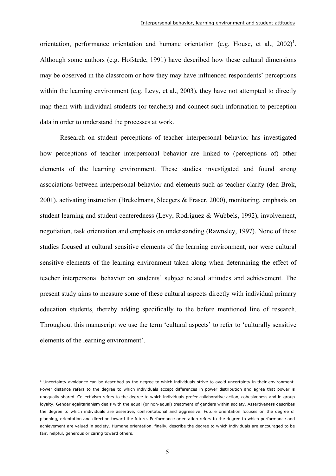orientation, performance orientation and humane orientation (e.g. House, et al.,  $2002$ )<sup>1</sup>. Although some authors (e.g. Hofstede, 1991) have described how these cultural dimensions may be observed in the classroom or how they may have influenced respondents' perceptions within the learning environment (e.g. Levy, et al., 2003), they have not attempted to directly map them with individual students (or teachers) and connect such information to perception data in order to understand the processes at work.

Research on student perceptions of teacher interpersonal behavior has investigated how perceptions of teacher interpersonal behavior are linked to (perceptions of) other elements of the learning environment. These studies investigated and found strong associations between interpersonal behavior and elements such as teacher clarity (den Brok, 2001), activating instruction (Brekelmans, Sleegers & Fraser, 2000), monitoring, emphasis on student learning and student centeredness (Levy, Rodriguez & Wubbels, 1992), involvement, negotiation, task orientation and emphasis on understanding (Rawnsley, 1997). None of these studies focused at cultural sensitive elements of the learning environment, nor were cultural sensitive elements of the learning environment taken along when determining the effect of teacher interpersonal behavior on students' subject related attitudes and achievement. The present study aims to measure some of these cultural aspects directly with individual primary education students, thereby adding specifically to the before mentioned line of research. Throughout this manuscript we use the term 'cultural aspects' to refer to 'culturally sensitive elements of the learning environment'.

 $<sup>1</sup>$  Uncertainty avoidance can be described as the degree to which individuals strive to avoid uncertainty in their environment.</sup> Power distance refers to the degree to which individuals accept differences in power distribution and agree that power is unequally shared. Collectivism refers to the degree to which individuals prefer collaborative action, cohesiveness and in-group loyalty. Gender egalitarianism deals with the equal (or non-equal) treatment of genders within society. Assertiveness describes the degree to which individuals are assertive, confrontational and aggressive. Future orientation focuses on the degree of planning, orientation and direction toward the future. Performance orientation refers to the degree to which performance and achievement are valued in society. Humane orientation, finally, describe the degree to which individuals are encouraged to be fair, helpful, generous or caring toward others.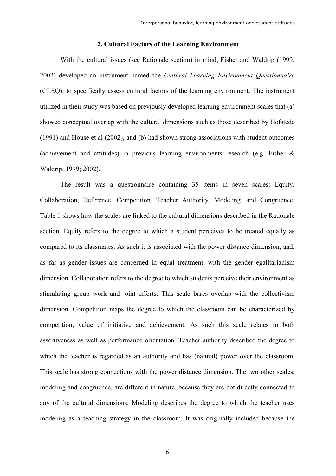#### **2. Cultural Factors of the Learning Environment**

With the cultural issues (see Rationale section) in mind, Fisher and Waldrip (1999; 2002) developed an instrument named the *Cultural Learning Environment Questionnaire* (CLEQ), to specifically assess cultural factors of the learning environment. The instrument utilized in their study was based on previously developed learning environment scales that (a) showed conceptual overlap with the cultural dimensions such as those described by Hofstede (1991) and House et al (2002), and (b) had shown strong associations with student outcomes (achievement and attitudes) in previous learning environments research (e.g. Fisher & Waldrip, 1999; 2002).

The result was a questionnaire containing 35 items in seven scales: Equity, Collaboration, Deference, Competition, Teacher Authority, Modeling, and Congruence. Table 1 shows how the scales are linked to the cultural dimensions described in the Rationale section. Equity refers to the degree to which a student perceives to be treated equally as compared to its classmates. As such it is associated with the power distance dimension, and, as far as gender issues are concerned in equal treatment, with the gender egalitarianism dimension. Collaboration refers to the degree to which students perceive their environment as stimulating group work and joint efforts. This scale bares overlap with the collectivism dimension. Competition maps the degree to which the classroom can be characterized by competition, value of initiative and achievement. As such this scale relates to both assertiveness as well as performance orientation. Teacher authority described the degree to which the teacher is regarded as an authority and has (natural) power over the classroom. This scale has strong connections with the power distance dimension. The two other scales, modeling and congruence, are different in nature, because they are not directly connected to any of the cultural dimensions. Modeling describes the degree to which the teacher uses modeling as a teaching strategy in the classroom. It was originally included because the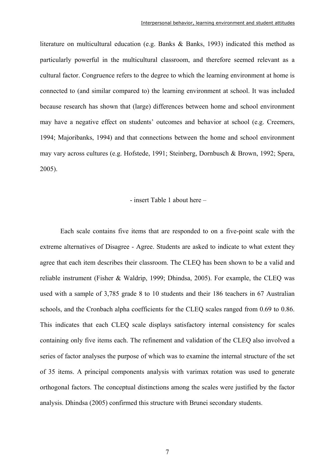literature on multicultural education (e.g. Banks & Banks, 1993) indicated this method as particularly powerful in the multicultural classroom, and therefore seemed relevant as a cultural factor. Congruence refers to the degree to which the learning environment at home is connected to (and similar compared to) the learning environment at school. It was included because research has shown that (large) differences between home and school environment may have a negative effect on students' outcomes and behavior at school (e.g. Creemers, 1994; Majoribanks, 1994) and that connections between the home and school environment may vary across cultures (e.g. Hofstede, 1991; Steinberg, Dornbusch & Brown, 1992; Spera, 2005).

#### - insert Table 1 about here –

Each scale contains five items that are responded to on a five-point scale with the extreme alternatives of Disagree - Agree. Students are asked to indicate to what extent they agree that each item describes their classroom. The CLEQ has been shown to be a valid and reliable instrument (Fisher & Waldrip, 1999; Dhindsa, 2005). For example, the CLEQ was used with a sample of 3,785 grade 8 to 10 students and their 186 teachers in 67 Australian schools, and the Cronbach alpha coefficients for the CLEQ scales ranged from 0.69 to 0.86. This indicates that each CLEQ scale displays satisfactory internal consistency for scales containing only five items each. The refinement and validation of the CLEQ also involved a series of factor analyses the purpose of which was to examine the internal structure of the set of 35 items. A principal components analysis with varimax rotation was used to generate orthogonal factors. The conceptual distinctions among the scales were justified by the factor analysis. Dhindsa (2005) confirmed this structure with Brunei secondary students.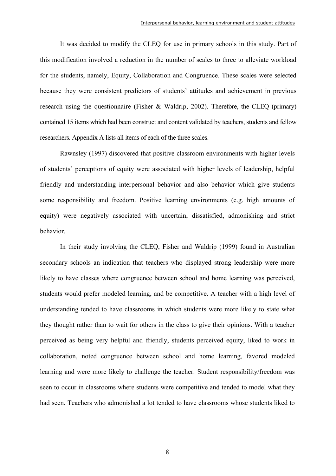It was decided to modify the CLEQ for use in primary schools in this study. Part of this modification involved a reduction in the number of scales to three to alleviate workload for the students, namely, Equity, Collaboration and Congruence. These scales were selected because they were consistent predictors of students' attitudes and achievement in previous research using the questionnaire (Fisher & Waldrip, 2002). Therefore, the CLEQ (primary) contained 15 items which had been construct and content validated by teachers, students and fellow researchers. Appendix A lists all items of each of the three scales.

Rawnsley (1997) discovered that positive classroom environments with higher levels of students' perceptions of equity were associated with higher levels of leadership, helpful friendly and understanding interpersonal behavior and also behavior which give students some responsibility and freedom. Positive learning environments (e.g. high amounts of equity) were negatively associated with uncertain, dissatisfied, admonishing and strict behavior.

In their study involving the CLEQ, Fisher and Waldrip (1999) found in Australian secondary schools an indication that teachers who displayed strong leadership were more likely to have classes where congruence between school and home learning was perceived, students would prefer modeled learning, and be competitive. A teacher with a high level of understanding tended to have classrooms in which students were more likely to state what they thought rather than to wait for others in the class to give their opinions. With a teacher perceived as being very helpful and friendly, students perceived equity, liked to work in collaboration, noted congruence between school and home learning, favored modeled learning and were more likely to challenge the teacher. Student responsibility/freedom was seen to occur in classrooms where students were competitive and tended to model what they had seen. Teachers who admonished a lot tended to have classrooms whose students liked to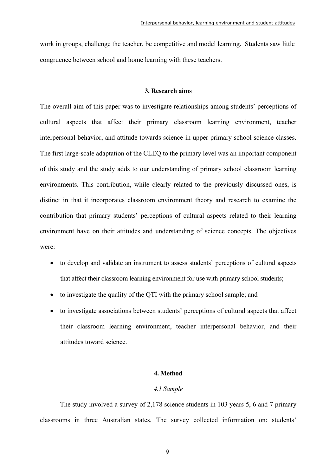work in groups, challenge the teacher, be competitive and model learning. Students saw little congruence between school and home learning with these teachers.

#### **3. Research aims**

The overall aim of this paper was to investigate relationships among students' perceptions of cultural aspects that affect their primary classroom learning environment, teacher interpersonal behavior, and attitude towards science in upper primary school science classes. The first large-scale adaptation of the CLEQ to the primary level was an important component of this study and the study adds to our understanding of primary school classroom learning environments. This contribution, while clearly related to the previously discussed ones, is distinct in that it incorporates classroom environment theory and research to examine the contribution that primary students' perceptions of cultural aspects related to their learning environment have on their attitudes and understanding of science concepts. The objectives were:

- to develop and validate an instrument to assess students' perceptions of cultural aspects that affect their classroom learning environment for use with primary school students;
- to investigate the quality of the QTI with the primary school sample; and
- to investigate associations between students' perceptions of cultural aspects that affect their classroom learning environment, teacher interpersonal behavior, and their attitudes toward science.

#### **4. Method**

#### *4.1 Sample*

The study involved a survey of 2,178 science students in 103 years 5, 6 and 7 primary classrooms in three Australian states. The survey collected information on: students'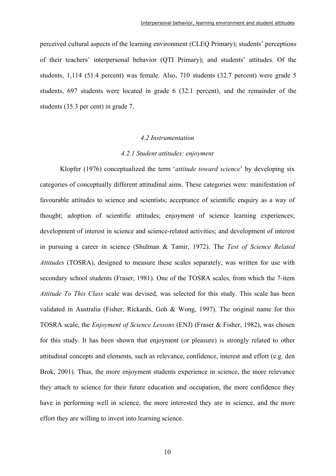perceived cultural aspects of the learning environment (CLEQ Primary); students' perceptions of their teachers' interpersonal behavior (QTI Primary); and students' attitudes. Of the students, 1,114 (51.4 percent) was female. Also, 710 students (32.7 percent) were grade 5 students, 697 students were located in grade 6 (32.1 percent), and the remainder of the students (35.3 per cent) in grade 7.

#### *4.2 Instrumentation*

#### *4.2.1 Student attitudes: enjoyment*

Klopfer (1976) conceptualized the term '*attitude toward science*' by developing six categories of conceptually different attitudinal aims. These categories were: manifestation of favourable attitudes to science and scientists; acceptance of scientific enquiry as a way of thought; adoption of scientific attitudes; enjoyment of science learning experiences; development of interest in science and science-related activities; and development of interest in pursuing a career in science (Shulman & Tamir, 1972). The *Test of Science Related Attitudes* (TOSRA), designed to measure these scales separately, was written for use with secondary school students (Fraser, 1981). One of the TOSRA scales, from which the 7-item *Attitude To This Class* scale was devised, was selected for this study. This scale has been validated in Australia (Fisher, Rickards, Goh & Wong, 1997). The original name for this TOSRA scale, the *Enjoyment of Science Lessons* (ENJ) (Fraser & Fisher, 1982), was chosen for this study. It has been shown that enjoyment (or pleasure) is strongly related to other attitudinal concepts and elements, such as relevance, confidence, interest and effort (e.g. den Brok, 2001). Thus, the more enjoyment students experience in science, the more relevance they attach to science for their future education and occupation, the more confidence they have in performing well in science, the more interested they are in science, and the more effort they are willing to invest into learning science.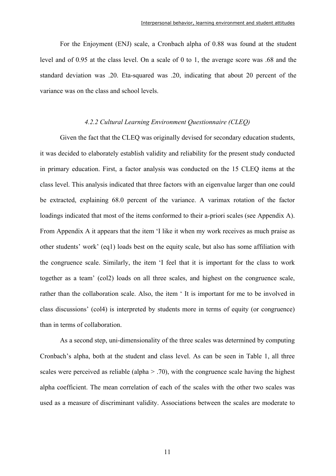For the Enjoyment (ENJ) scale, a Cronbach alpha of 0.88 was found at the student level and of 0.95 at the class level. On a scale of 0 to 1, the average score was .68 and the standard deviation was .20. Eta-squared was .20, indicating that about 20 percent of the variance was on the class and school levels.

#### *4.2.2 Cultural Learning Environment Questionnaire (CLEQ)*

Given the fact that the CLEQ was originally devised for secondary education students, it was decided to elaborately establish validity and reliability for the present study conducted in primary education. First, a factor analysis was conducted on the 15 CLEQ items at the class level. This analysis indicated that three factors with an eigenvalue larger than one could be extracted, explaining 68.0 percent of the variance. A varimax rotation of the factor loadings indicated that most of the items conformed to their a-priori scales (see Appendix A). From Appendix A it appears that the item 'I like it when my work receives as much praise as other students' work' (eq1) loads best on the equity scale, but also has some affiliation with the congruence scale. Similarly, the item 'I feel that it is important for the class to work together as a team' (col2) loads on all three scales, and highest on the congruence scale, rather than the collaboration scale. Also, the item ' It is important for me to be involved in class discussions' (col4) is interpreted by students more in terms of equity (or congruence) than in terms of collaboration.

As a second step, uni-dimensionality of the three scales was determined by computing Cronbach's alpha, both at the student and class level. As can be seen in Table 1, all three scales were perceived as reliable (alpha  $> .70$ ), with the congruence scale having the highest alpha coefficient. The mean correlation of each of the scales with the other two scales was used as a measure of discriminant validity. Associations between the scales are moderate to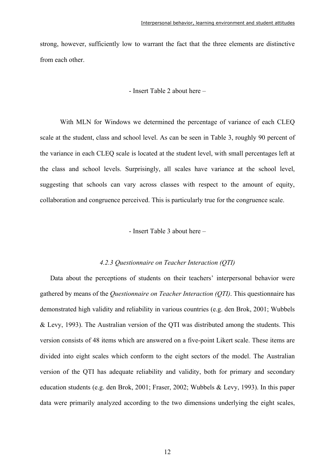strong, however, sufficiently low to warrant the fact that the three elements are distinctive from each other.

#### - Insert Table 2 about here –

With MLN for Windows we determined the percentage of variance of each CLEQ scale at the student, class and school level. As can be seen in Table 3, roughly 90 percent of the variance in each CLEQ scale is located at the student level, with small percentages left at the class and school levels. Surprisingly, all scales have variance at the school level, suggesting that schools can vary across classes with respect to the amount of equity, collaboration and congruence perceived. This is particularly true for the congruence scale.

#### - Insert Table 3 about here –

#### *4.2.3 Questionnaire on Teacher Interaction (QTI)*

Data about the perceptions of students on their teachers' interpersonal behavior were gathered by means of the *Questionnaire on Teacher Interaction (QTI)*. This questionnaire has demonstrated high validity and reliability in various countries (e.g. den Brok, 2001; Wubbels & Levy, 1993). The Australian version of the QTI was distributed among the students. This version consists of 48 items which are answered on a five-point Likert scale. These items are divided into eight scales which conform to the eight sectors of the model. The Australian version of the QTI has adequate reliability and validity, both for primary and secondary education students (e.g. den Brok, 2001; Fraser, 2002; Wubbels & Levy, 1993). In this paper data were primarily analyzed according to the two dimensions underlying the eight scales,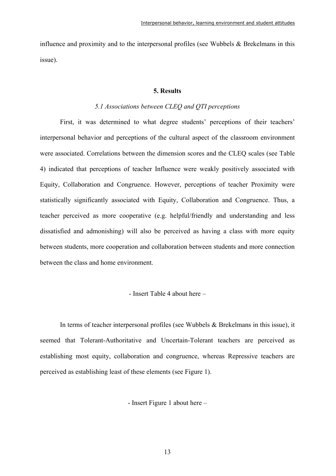influence and proximity and to the interpersonal profiles (see Wubbels & Brekelmans in this issue).

#### **5. Results**

#### *5.1 Associations between CLEQ and QTI perceptions*

First, it was determined to what degree students' perceptions of their teachers' interpersonal behavior and perceptions of the cultural aspect of the classroom environment were associated. Correlations between the dimension scores and the CLEQ scales (see Table 4) indicated that perceptions of teacher Influence were weakly positively associated with Equity, Collaboration and Congruence. However, perceptions of teacher Proximity were statistically significantly associated with Equity, Collaboration and Congruence. Thus, a teacher perceived as more cooperative (e.g. helpful/friendly and understanding and less dissatisfied and admonishing) will also be perceived as having a class with more equity between students, more cooperation and collaboration between students and more connection between the class and home environment.

- Insert Table 4 about here –

In terms of teacher interpersonal profiles (see Wubbels  $\&$  Brekelmans in this issue), it seemed that Tolerant-Authoritative and Uncertain-Tolerant teachers are perceived as establishing most equity, collaboration and congruence, whereas Repressive teachers are perceived as establishing least of these elements (see Figure 1).

- Insert Figure 1 about here –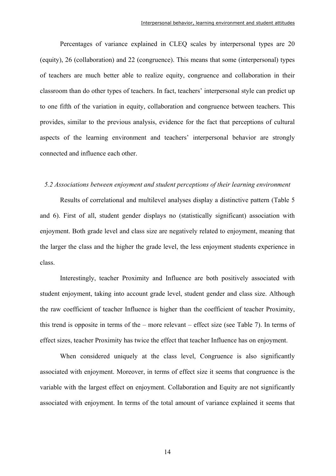Percentages of variance explained in CLEQ scales by interpersonal types are 20 (equity), 26 (collaboration) and 22 (congruence). This means that some (interpersonal) types of teachers are much better able to realize equity, congruence and collaboration in their classroom than do other types of teachers. In fact, teachers' interpersonal style can predict up to one fifth of the variation in equity, collaboration and congruence between teachers. This provides, similar to the previous analysis, evidence for the fact that perceptions of cultural aspects of the learning environment and teachers' interpersonal behavior are strongly connected and influence each other.

### *5.2 Associations between enjoyment and student perceptions of their learning environment*

Results of correlational and multilevel analyses display a distinctive pattern (Table 5 and 6). First of all, student gender displays no (statistically significant) association with enjoyment. Both grade level and class size are negatively related to enjoyment, meaning that the larger the class and the higher the grade level, the less enjoyment students experience in class.

Interestingly, teacher Proximity and Influence are both positively associated with student enjoyment, taking into account grade level, student gender and class size. Although the raw coefficient of teacher Influence is higher than the coefficient of teacher Proximity, this trend is opposite in terms of the – more relevant – effect size (see Table 7). In terms of effect sizes, teacher Proximity has twice the effect that teacher Influence has on enjoyment.

When considered uniquely at the class level, Congruence is also significantly associated with enjoyment. Moreover, in terms of effect size it seems that congruence is the variable with the largest effect on enjoyment. Collaboration and Equity are not significantly associated with enjoyment. In terms of the total amount of variance explained it seems that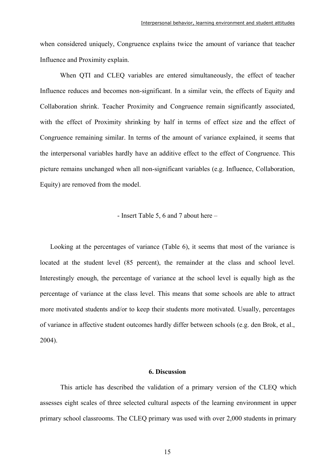when considered uniquely, Congruence explains twice the amount of variance that teacher Influence and Proximity explain.

When QTI and CLEQ variables are entered simultaneously, the effect of teacher Influence reduces and becomes non-significant. In a similar vein, the effects of Equity and Collaboration shrink. Teacher Proximity and Congruence remain significantly associated, with the effect of Proximity shrinking by half in terms of effect size and the effect of Congruence remaining similar. In terms of the amount of variance explained, it seems that the interpersonal variables hardly have an additive effect to the effect of Congruence. This picture remains unchanged when all non-significant variables (e.g. Influence, Collaboration, Equity) are removed from the model.

#### - Insert Table 5, 6 and 7 about here –

Looking at the percentages of variance (Table 6), it seems that most of the variance is located at the student level (85 percent), the remainder at the class and school level. Interestingly enough, the percentage of variance at the school level is equally high as the percentage of variance at the class level. This means that some schools are able to attract more motivated students and/or to keep their students more motivated. Usually, percentages of variance in affective student outcomes hardly differ between schools (e.g. den Brok, et al., 2004).

#### **6. Discussion**

This article has described the validation of a primary version of the CLEQ which assesses eight scales of three selected cultural aspects of the learning environment in upper primary school classrooms. The CLEQ primary was used with over 2,000 students in primary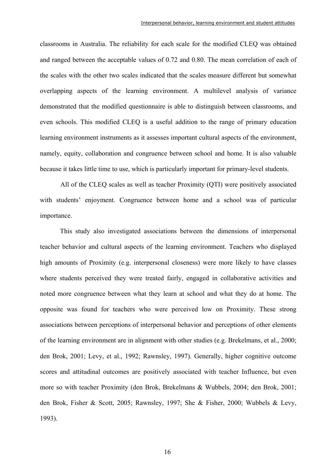classrooms in Australia. The reliability for each scale for the modified CLEQ was obtained and ranged between the acceptable values of 0.72 and 0.80. The mean correlation of each of the scales with the other two scales indicated that the scales measure different but somewhat overlapping aspects of the learning environment. A multilevel analysis of variance demonstrated that the modified questionnaire is able to distinguish between classrooms, and even schools. This modified CLEQ is a useful addition to the range of primary education learning environment instruments as it assesses important cultural aspects of the environment, namely, equity, collaboration and congruence between school and home. It is also valuable because it takes little time to use, which is particularly important for primary-level students.

All of the CLEQ scales as well as teacher Proximity (QTI) were positively associated with students' enjoyment. Congruence between home and a school was of particular importance.

 This study also investigated associations between the dimensions of interpersonal teacher behavior and cultural aspects of the learning environment. Teachers who displayed high amounts of Proximity (e.g. interpersonal closeness) were more likely to have classes where students perceived they were treated fairly, engaged in collaborative activities and noted more congruence between what they learn at school and what they do at home. The opposite was found for teachers who were perceived low on Proximity. These strong associations between perceptions of interpersonal behavior and perceptions of other elements of the learning environment are in alignment with other studies (e.g. Brekelmans, et al., 2000; den Brok, 2001; Levy, et al., 1992; Rawnsley, 1997). Generally, higher cognitive outcome scores and attitudinal outcomes are positively associated with teacher Influence, but even more so with teacher Proximity (den Brok, Brekelmans & Wubbels, 2004; den Brok, 2001; den Brok, Fisher & Scott, 2005; Rawnsley, 1997; She & Fisher, 2000; Wubbels & Levy, 1993).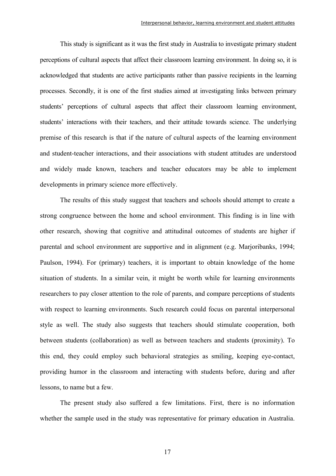This study is significant as it was the first study in Australia to investigate primary student perceptions of cultural aspects that affect their classroom learning environment. In doing so, it is acknowledged that students are active participants rather than passive recipients in the learning processes. Secondly, it is one of the first studies aimed at investigating links between primary students' perceptions of cultural aspects that affect their classroom learning environment, students' interactions with their teachers, and their attitude towards science. The underlying premise of this research is that if the nature of cultural aspects of the learning environment and student-teacher interactions, and their associations with student attitudes are understood and widely made known, teachers and teacher educators may be able to implement developments in primary science more effectively.

 The results of this study suggest that teachers and schools should attempt to create a strong congruence between the home and school environment. This finding is in line with other research, showing that cognitive and attitudinal outcomes of students are higher if parental and school environment are supportive and in alignment (e.g. Marjoribanks, 1994; Paulson, 1994). For (primary) teachers, it is important to obtain knowledge of the home situation of students. In a similar vein, it might be worth while for learning environments researchers to pay closer attention to the role of parents, and compare perceptions of students with respect to learning environments. Such research could focus on parental interpersonal style as well. The study also suggests that teachers should stimulate cooperation, both between students (collaboration) as well as between teachers and students (proximity). To this end, they could employ such behavioral strategies as smiling, keeping eye-contact, providing humor in the classroom and interacting with students before, during and after lessons, to name but a few.

 The present study also suffered a few limitations. First, there is no information whether the sample used in the study was representative for primary education in Australia.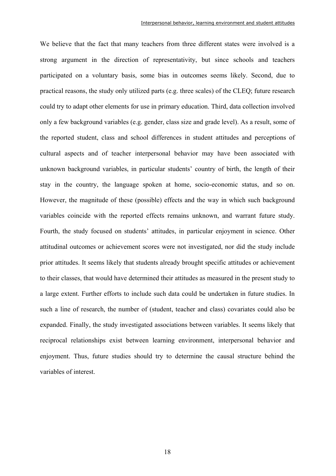We believe that the fact that many teachers from three different states were involved is a strong argument in the direction of representativity, but since schools and teachers participated on a voluntary basis, some bias in outcomes seems likely. Second, due to practical reasons, the study only utilized parts (e.g. three scales) of the CLEQ; future research could try to adapt other elements for use in primary education. Third, data collection involved only a few background variables (e.g. gender, class size and grade level). As a result, some of the reported student, class and school differences in student attitudes and perceptions of cultural aspects and of teacher interpersonal behavior may have been associated with unknown background variables, in particular students' country of birth, the length of their stay in the country, the language spoken at home, socio-economic status, and so on. However, the magnitude of these (possible) effects and the way in which such background variables coincide with the reported effects remains unknown, and warrant future study. Fourth, the study focused on students' attitudes, in particular enjoyment in science. Other attitudinal outcomes or achievement scores were not investigated, nor did the study include prior attitudes. It seems likely that students already brought specific attitudes or achievement to their classes, that would have determined their attitudes as measured in the present study to a large extent. Further efforts to include such data could be undertaken in future studies. In such a line of research, the number of (student, teacher and class) covariates could also be expanded. Finally, the study investigated associations between variables. It seems likely that reciprocal relationships exist between learning environment, interpersonal behavior and enjoyment. Thus, future studies should try to determine the causal structure behind the variables of interest.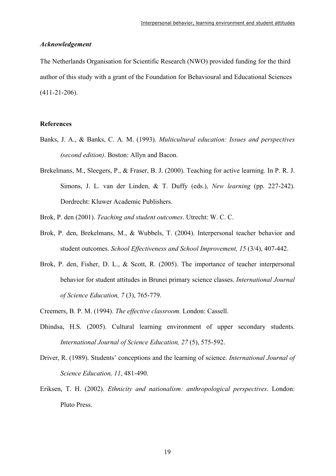#### *Acknowledgement*

The Netherlands Organisation for Scientific Research (NWO) provided funding for the third author of this study with a grant of the Foundation for Behavioural and Educational Sciences (411-21-206).

#### **References**

- Banks, J. A., & Banks, C. A. M. (1993). *Multicultural education: Issues and perspectives (second edition)*. Boston: Allyn and Bacon.
- Brekelmans, M., Sleegers, P., & Fraser, B. J. (2000). Teaching for active learning. In P. R. J. Simons, J. L. van der Linden, & T. Duffy (eds.), *New learning* (pp. 227-242). Dordrecht: Kluwer Academic Publishers.
- Brok, P. den (2001). *Teaching and student outcomes*. Utrecht: W. C. C.
- Brok, P. den, Brekelmans, M., & Wubbels, T. (2004). Interpersonal teacher behavior and student outcomes. *School Effectiveness and School Improvement, 15* (3/4), 407-442.
- Brok, P. den, Fisher, D. L., & Scott, R. (2005). The importance of teacher interpersonal behavior for student attitudes in Brunei primary science classes. *International Journal of Science Education, 7* (3), 765-779.
- Creemers, B. P. M. (1994). *The effective classroom.* London: Cassell.
- Dhindsa, H.S. (2005). Cultural learning environment of upper secondary students. *International Journal of Science Education, 27* (5), 575-592.
- Driver, R. (1989). Students' conceptions and the learning of science. *International Journal of Science Education, 11*, 481-490.
- Eriksen, T. H. (2002). *Ethnicity and nationalism: anthropological perspectives*. London: Pluto Press.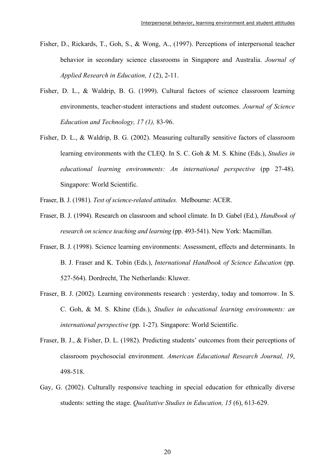- Fisher, D., Rickards, T., Goh, S., & Wong, A., (1997). Perceptions of interpersonal teacher behavior in secondary science classrooms in Singapore and Australia. *Journal of Applied Research in Education, 1* (2), 2-11.
- Fisher, D. L., & Waldrip, B. G. (1999). Cultural factors of science classroom learning environments, teacher-student interactions and student outcomes. *Journal of Science Education and Technology, 17 (1),* 83-96.
- Fisher, D. L., & Waldrip, B. G. (2002). Measuring culturally sensitive factors of classroom learning environments with the CLEQ. In S. C. Goh & M. S. Khine (Eds.), *Studies in educational learning environments: An international perspective* (pp 27-48). Singapore: World Scientific.
- Fraser, B. J. (1981). *Test of science-related attitudes.* Melbourne: ACER.
- Fraser, B. J. (1994). Research on classroom and school climate. In D. Gabel (Ed.), *Handbook of research on science teaching and learning* (pp. 493-541). New York: Macmillan.
- Fraser, B. J. (1998). Science learning environments: Assessment, effects and determinants. In B. J. Fraser and K. Tobin (Eds.), *International Handbook of Science Education* (pp. 527-564). Dordrecht, The Netherlands: Kluwer.
- Fraser, B. J. (2002). Learning environments research : yesterday, today and tomorrow. In S. C. Goh, & M. S. Khine (Eds.), *Studies in educational learning environments: an international perspective* (pp. 1-27). Singapore: World Scientific.
- Fraser, B. J., & Fisher, D. L. (1982). Predicting students' outcomes from their perceptions of classroom psychosocial environment. *American Educational Research Journal, 19*, 498-518.
- Gay, G. (2002). Culturally responsive teaching in special education for ethnically diverse students: setting the stage. *Qualitative Studies in Education, 15* (6), 613-629.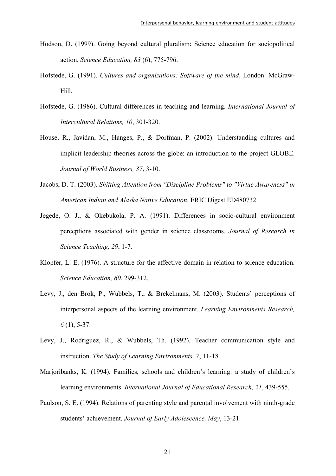- Hodson, D. (1999). Going beyond cultural pluralism: Science education for sociopolitical action. *Science Education, 83* (6), 775-796.
- Hofstede, G. (1991). *Cultures and organizations: Software of the mind*. London: McGraw-Hill.
- Hofstede, G. (1986). Cultural differences in teaching and learning. *International Journal of Intercultural Relations, 10*, 301-320.
- House, R., Javidan, M., Hanges, P., & Dorfman, P. (2002). Understanding cultures and implicit leadership theories across the globe: an introduction to the project GLOBE. *Journal of World Business, 37*, 3-10.
- Jacobs, D. T. (2003). *Shifting Attention from "Discipline Problems" to "Virtue Awareness" in American Indian and Alaska Native Education*. ERIC Digest ED480732.
- Jegede, O. J., & Okebukola, P. A. (1991). Differences in socio-cultural environment perceptions associated with gender in science classrooms. *Journal of Research in Science Teaching, 29*, 1-7.
- Klopfer, L. E. (1976). A structure for the affective domain in relation to science education. *Science Education, 60*, 299-312.
- Levy, J., den Brok, P., Wubbels, T., & Brekelmans, M. (2003). Students' perceptions of interpersonal aspects of the learning environment. *Learning Environments Research, 6* (1), 5-37.
- Levy, J., Rodriguez, R., & Wubbels, Th. (1992). Teacher communication style and instruction. *The Study of Learning Environments, 7*, 11-18.
- Marjoribanks, K. (1994). Families, schools and children's learning: a study of children's learning environments. *International Journal of Educational Research, 21*, 439-555.
- Paulson, S. E. (1994). Relations of parenting style and parental involvement with ninth-grade students' achievement. *Journal of Early Adolescence, May*, 13-21.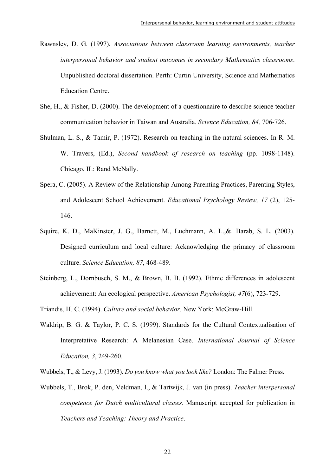- Rawnsley, D. G. (1997). *Associations between classroom learning environments, teacher interpersonal behavior and student outcomes in secondary Mathematics classrooms*. Unpublished doctoral dissertation. Perth: Curtin University, Science and Mathematics Education Centre.
- She, H., & Fisher, D. (2000). The development of a questionnaire to describe science teacher communication behavior in Taiwan and Australia. *Science Education, 84,* 706-726.
- Shulman, L. S., & Tamir, P. (1972). Research on teaching in the natural sciences. In R. M. W. Travers, (Ed.), *Second handbook of research on teaching* (pp. 1098-1148). Chicago, IL: Rand McNally.
- Spera, C. (2005). A Review of the Relationship Among Parenting Practices, Parenting Styles, and Adolescent School Achievement. *Educational Psychology Review, 17* (2), 125- 146.
- Squire, K. D., MaKinster, J. G., Barnett, M., Luehmann, A. L.,&. Barab, S. L. (2003). Designed curriculum and local culture: Acknowledging the primacy of classroom culture. *Science Education, 87*, 468-489.
- Steinberg, L., Dornbusch, S. M., & Brown, B. B. (1992). Ethnic differences in adolescent achievement: An ecological perspective. *American Psychologist, 47*(6), 723-729.
- Triandis, H. C. (1994). *Culture and social behavior*. New York: McGraw-Hill.
- Waldrip, B. G. & Taylor, P. C. S. (1999). Standards for the Cultural Contextualisation of Interpretative Research: A Melanesian Case. *International Journal of Science Education, 3*, 249-260.
- Wubbels, T., & Levy, J. (1993). *Do you know what you look like?* London: The Falmer Press.
- Wubbels, T., Brok, P. den, Veldman, I., & Tartwijk, J. van (in press). *Teacher interpersonal competence for Dutch multicultural classes*. Manuscript accepted for publication in *Teachers and Teaching: Theory and Practice*.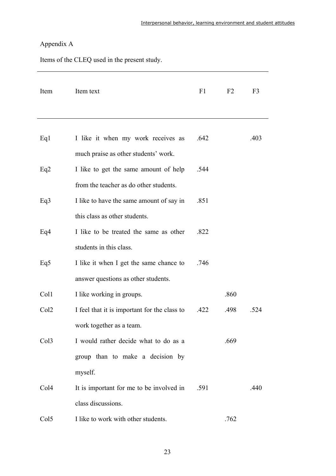# Appendix A

Items of the CLEQ used in the present study.

| Item             | Item text                                    | F1   | F2   | F <sub>3</sub> |
|------------------|----------------------------------------------|------|------|----------------|
|                  |                                              |      |      |                |
| Eq1              | I like it when my work receives as           | .642 |      | .403           |
|                  | much praise as other students' work.         |      |      |                |
| Eq2              | I like to get the same amount of help        | .544 |      |                |
|                  | from the teacher as do other students.       |      |      |                |
| Eq <sub>3</sub>  | I like to have the same amount of say in     | .851 |      |                |
|                  | this class as other students.                |      |      |                |
| Eq4              | I like to be treated the same as other       | .822 |      |                |
|                  | students in this class.                      |      |      |                |
| Eq5              | I like it when I get the same chance to      | .746 |      |                |
|                  | answer questions as other students.          |      |      |                |
| Col1             | I like working in groups.                    |      | .860 |                |
| Col <sub>2</sub> | I feel that it is important for the class to | .422 | .498 | .524           |
|                  | work together as a team.                     |      |      |                |
| Col <sub>3</sub> | I would rather decide what to do as a        |      | .669 |                |
|                  | group than to make a decision by             |      |      |                |
|                  | myself.                                      |      |      |                |
| Col <sub>4</sub> | It is important for me to be involved in     | .591 |      | .440           |
|                  | class discussions.                           |      |      |                |
| Col <sub>5</sub> | I like to work with other students.          |      | .762 |                |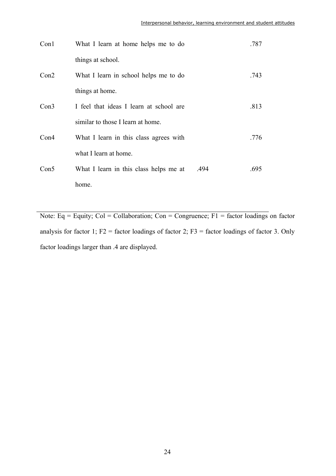| Con1 | What I learn at home helps me to do            | .787 |
|------|------------------------------------------------|------|
|      | things at school.                              |      |
| Con2 | What I learn in school helps me to do          | .743 |
|      | things at home.                                |      |
| Con3 | I feel that ideas I learn at school are        | .813 |
|      | similar to those I learn at home.              |      |
| Con4 | What I learn in this class agrees with         | .776 |
|      | what I learn at home.                          |      |
| Con5 | What I learn in this class helps me at<br>.494 | .695 |
|      | home.                                          |      |

Note: Eq = Equity; Col = Collaboration; Con = Congruence; F1 = factor loadings on factor analysis for factor 1;  $F2 =$  factor loadings of factor 2;  $F3 =$  factor loadings of factor 3. Only factor loadings larger than .4 are displayed.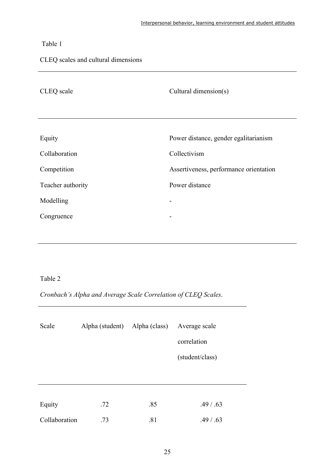## Table 1

CLEQ scales and cultural dimensions

| CLEQ scale        | Cultural dimension(s)                  |
|-------------------|----------------------------------------|
|                   |                                        |
| Equity            | Power distance, gender egalitarianism  |
| Collaboration     | Collectivism                           |
| Competition       | Assertiveness, performance orientation |
| Teacher authority | Power distance                         |
| Modelling         |                                        |
| Congruence        | -                                      |
|                   |                                        |

### Table 2

*Cronbach's Alpha and Average Scale Correlation of CLEQ Scales*.

| Scale         | Alpha (student) Alpha (class) |     | Average scale   |
|---------------|-------------------------------|-----|-----------------|
|               |                               |     | correlation     |
|               |                               |     | (student/class) |
|               |                               |     |                 |
|               |                               |     |                 |
| Equity        | .72                           | .85 | .49 / .63       |
| Collaboration | .73                           | .81 | .49 / .63       |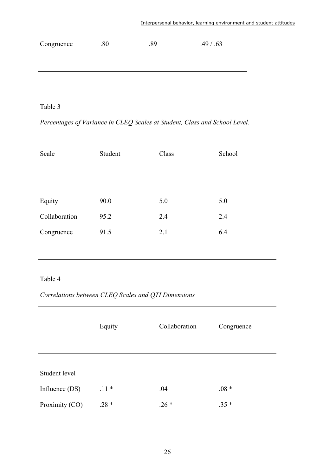| Congruence | .80 | .89 | .49 / .63 |
|------------|-----|-----|-----------|
|            |     |     |           |
|            |     |     |           |
|            |     |     |           |
|            |     |     |           |

# Table 3

*Percentages of Variance in CLEQ Scales at Student, Class and School Level.*

| Scale         | Student | Class | School |
|---------------|---------|-------|--------|
|               |         |       |        |
|               |         |       |        |
| Equity        | 90.0    | 5.0   | 5.0    |
| Collaboration | 95.2    | 2.4   | 2.4    |
| Congruence    | 91.5    | 2.1   | 6.4    |
|               |         |       |        |

### Table 4

*Correlations between CLEQ Scales and QTI Dimensions* 

|                | Equity | Collaboration | Congruence |
|----------------|--------|---------------|------------|
| Student level  |        |               |            |
| Influence (DS) | $.11*$ | .04           | $.08 *$    |
| Proximity (CO) | $.28*$ | $.26*$        | $.35*$     |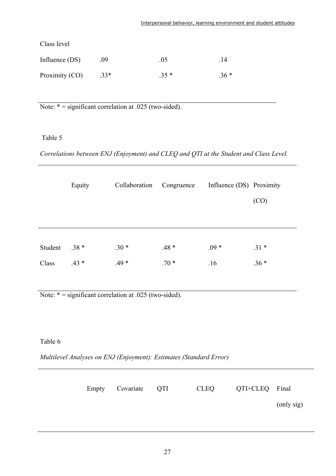| Class level    |      |        |       |
|----------------|------|--------|-------|
| Influence (DS) | .09  | .05    | .14   |
| Proximity (CO) | .33* | $.35*$ | $36*$ |

Note:  $* =$  significant correlation at .025 (two-sided).

Table 5

*Correlations between ENJ (Enjoyment) and CLEQ and QTI at the Student and Class Level.* 

|         | Equity  | Collaboration | Congruence | Influence (DS) Proximity |        |
|---------|---------|---------------|------------|--------------------------|--------|
|         |         |               |            |                          | (CO)   |
|         |         |               |            |                          |        |
|         |         |               |            |                          |        |
| Student | $.38*$  | $.30*$        | $.48*$     | $.09*$                   | $.31*$ |
| Class   | $.43 *$ | $.49*$        | $.70*$     | .16                      | $.36*$ |
|         |         |               |            |                          |        |

Note:  $* =$  significant correlation at .025 (two-sided).

Table 6

*Multilevel Analyses on ENJ (Enjoyment): Estimates (Standard Error)* 

|  | Empty Covariate QTI | CLEQ | QTI+CLEQ Final |            |
|--|---------------------|------|----------------|------------|
|  |                     |      |                | (only sig) |
|  |                     |      |                |            |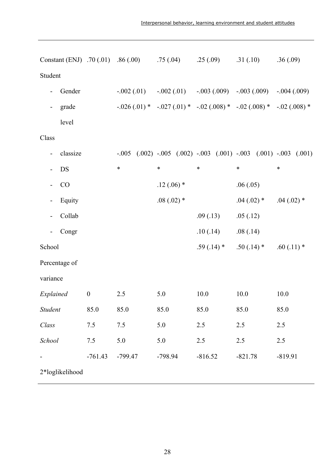| Constant (ENJ) .70 (.01) .86 (.00)    |                  |              |              |              | $.75(.04)$ $.25(.09)$ $.31(.10)$ $.36(.09)$                                          |              |
|---------------------------------------|------------------|--------------|--------------|--------------|--------------------------------------------------------------------------------------|--------------|
| Student                               |                  |              |              |              |                                                                                      |              |
| Gender                                |                  | $-.002(.01)$ |              |              | $-.002(.01)$ $-.003(.009)$ $-.003(.009)$ $-.004(.009)$                               |              |
| grade<br>$\overline{\phantom{a}}$     |                  |              |              |              | $-.026(.01)$ * $-.027(.01)$ * $-.02(.008)$ * $-.02(.008)$ * $-.02(.008)$ *           |              |
| level                                 |                  |              |              |              |                                                                                      |              |
| Class                                 |                  |              |              |              |                                                                                      |              |
| classize<br>-                         |                  |              |              |              | $-.005$ $(.002)$ $-.005$ $(.002)$ $-.003$ $(.001)$ $-.003$ $(.001)$ $-.003$ $(.001)$ |              |
| DS<br>$\overline{\phantom{a}}$        |                  | $\ast$       | $\ast$       | $\ast$       | $\ast$                                                                               | $\ast$       |
| CO                                    |                  |              | $.12(.06)$ * |              | .06(.05)                                                                             |              |
| Equity<br>$\overline{\phantom{0}}$    |                  |              | $.08(.02)$ * |              | $.04(.02)$ *                                                                         | $.04(.02)$ * |
| Collab                                |                  |              |              | .09(.13)     | .05(.12)                                                                             |              |
| Congr<br>$\qquad \qquad \blacksquare$ |                  |              |              | .10(.14)     | .08(.14)                                                                             |              |
| School                                |                  |              |              | $.59(.14)$ * | $.50(.14)$ *                                                                         | $.60(.11)$ * |
| Percentage of                         |                  |              |              |              |                                                                                      |              |
| variance                              |                  |              |              |              |                                                                                      |              |
| Explained                             | $\boldsymbol{0}$ | 2.5          | 5.0          | 10.0         | 10.0                                                                                 | 10.0         |
| <b>Student</b>                        | 85.0             | 85.0         | 85.0         | 85.0         | 85.0                                                                                 | 85.0         |
| Class                                 | 7.5              | 7.5          | 5.0          | 2.5          | 2.5                                                                                  | 2.5          |
| School                                | $7.5$            | 5.0          | 5.0          | 2.5          | 2.5                                                                                  | 2.5          |
|                                       | $-761.43$        | $-799.47$    | -798.94      | $-816.52$    | $-821.78$                                                                            | $-819.91$    |
| 2*loglikelihood                       |                  |              |              |              |                                                                                      |              |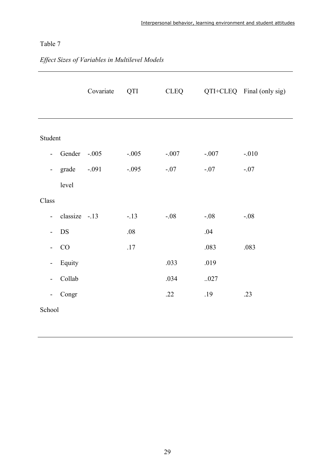## Table 7

|                          |               | Covariate | QTI     | <b>CLEQ</b> |         | QTI+CLEQ Final (only sig) |
|--------------------------|---------------|-----------|---------|-------------|---------|---------------------------|
| Student                  |               |           |         |             |         |                           |
| $\overline{a}$           | Gender        | $-.005$   | $-.005$ | $-.007$     | $-.007$ | $-.010$                   |
| $\overline{\phantom{a}}$ | grade         | $-.091$   | $-.095$ | $-.07$      | $-.07$  | $-.07$                    |
|                          | level         |           |         |             |         |                           |
| Class                    |               |           |         |             |         |                           |
| $\blacksquare$           | classize -.13 |           | $-13$   | $-.08$      | $-.08$  | $-.08$                    |
| $\overline{\phantom{0}}$ | <b>DS</b>     |           | .08     |             | .04     |                           |
| $\overline{\phantom{0}}$ | CO            |           | .17     |             | .083    | .083                      |
| $\overline{\phantom{0}}$ | Equity        |           |         | .033        | .019    |                           |
| $\overline{\phantom{0}}$ | Collab        |           |         | .034        | .027    |                           |
| $\overline{\phantom{0}}$ | Congr         |           |         | .22         | .19     | .23                       |
| School                   |               |           |         |             |         |                           |

# *Effect Sizes of Variables in Multilevel Models*